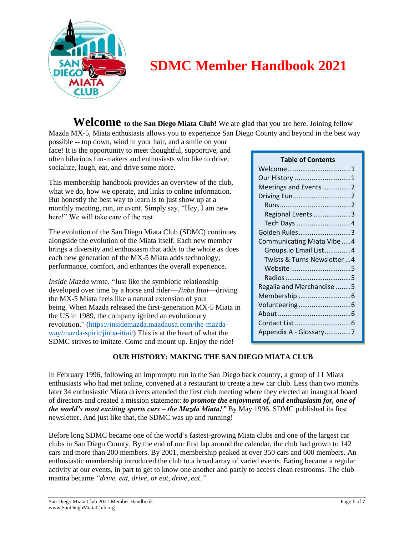

# **SDMC Member Handbook 2021**

**Welcome to the San Diego Miata Club!** We are glad that you are here. Joining fellow Mazda MX-5, Miata enthusiasts allows you to experience San Diego County and beyond in the best way

possible -- top down, wind in your hair, and a smile on your face! It is the opportunity to meet thoughtful, supportive, and often hilarious fun-makers and enthusiasts who like to drive, socialize, laugh, eat, and drive some more.

This membership handbook provides an overview of the club, what we do, how we operate, and links to online information. But honestly the best way to learn is to just show up at a monthly meeting, run, or event. Simply say, "Hey, I am new here!" We will take care of the rest.

The evolution of the San Diego Miata Club (SDMC) continues alongside the evolution of the Miata itself. Each new member brings a diversity and enthusiasm that adds to the whole as does each new generation of the MX-5 Miata adds technology, performance, comfort, and enhances the overall experience.

*Inside Mazda* wrote, "Just like the symbiotic relationship developed over time by a horse and rider—*Jinba Ittai*—driving the MX-5 Miata feels like a natural extension of your being. When Mazda released the first-generation MX-5 Miata in the US in 1989, the company ignited an evolutionary revolution." [\(https://insidemazda.mazdausa.com/the-mazda](https://insidemazda.mazdausa.com/the-mazda-way/mazda-spirit/jinba-ittai/)[way/mazda-spirit/jinba-ittai/\)](https://insidemazda.mazdausa.com/the-mazda-way/mazda-spirit/jinba-ittai/) This is at the heart of what the SDMC strives to imitate. Come and mount up. Enjoy the ride!

## **Table of Contents** Welcome..................................1 Our History ..............................1 Meetings and Events...............2 Driving Fun...............................2 Runs......................................2 Regional Events....................3 Tech Days .............................4 Golden Rules............................3 Communicating Miata Vibe .....4 Groups.io Email List..............4 Twists & Turns Newsletter ...4 Website ................................5 Radios...................................5 Regalia and Merchandise ........5 Membership ............................6 Volunteering............................6 About.......................................6 Contact List..............................6 Appendix A - Glossary..............7

## **OUR HISTORY: MAKING THE SAN DIEGO MIATA CLUB**

In February 1996, following an impromptu run in the San Diego back country, a group of 11 Miata enthusiasts who had met online, convened at a restaurant to create a new car club. Less than two months later 34 enthusiastic Miata drivers attended the first club meeting where they elected an inaugural board of directors and created a mission statement: *to promote the enjoyment of, and enthusiasm for, one of the world's most exciting sports cars – the Mazda Miata!"* By May 1996, SDMC published its first newsletter. And just like that, the SDMC was up and running!

Before long SDMC became one of the world's fastest-growing Miata clubs and one of the largest car clubs in San Diego County. By the end of our first lap around the calendar, the club had grown to 142 cars and more than 200 members. By 2001, membership peaked at over 350 cars and 600 members. An enthusiastic membership introduced the club to a broad array of varied events. Eating became a regular activity at our events, in part to get to know one another and partly to access clean restrooms. The club mantra became *"drive, eat, drive, or eat, drive, eat."*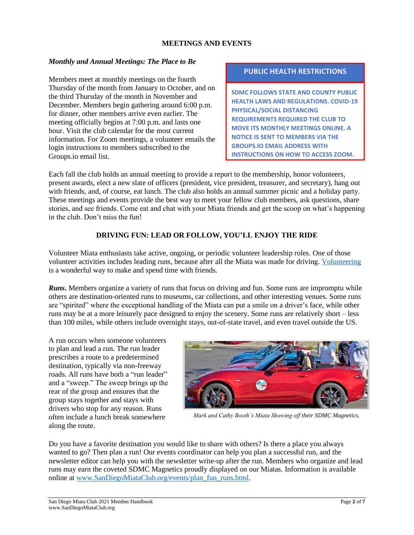### **MEETINGS AND EVENTS**

### *Monthly and Annual Meetings: The Place to Be*

Members meet at monthly meetings on the fourth Thursday of the month from January to October, and on the third Thursday of the month in November and December. Members begin gathering around 6:00 p.m. for dinner, other members arrive even earlier. The meeting officially begins at 7:00 p.m. and lasts one hour. Visit the club calendar for the most current information. For Zoom meetings, a volunteer emails the login instructions to members subscribed to the Groups.io email list.

#### **PUBLIC HEALTH RESTRICTIONS**

**SDMC FOLLOWS STATE AND COUNTY PUBLIC HEALTH LAWS AND REGULATIONS. COVID-19 PHYSICAL/SOCIAL DISTANCING REQUIREMENTS REQUIRED THE CLUB TO MOVE ITS MONTHLY MEETINGS ONLINE. A NOTICE IS SENT TO MEMBERS VIA THE GROUPS.IO EMAIL ADDRESS WITH INSTRUCTIONS ON HOW TO ACCESS ZOOM.**

Each fall the club holds an annual meeting to provide a report to the membership, honor volunteers, present awards, elect a new slate of officers (president, vice president, treasurer, and secretary), hang out with friends, and, of course, eat lunch. The club also holds an annual summer picnic and a holiday party. These meetings and events provide the best way to meet your fellow club members, ask questions, share stories, and see friends. Come eat and chat with your Miata friends and get the scoop on what's happening in the club. Don't miss the fun!

### **DRIVING FUN: LEAD OR FOLLOW, YOU'LL ENJOY THE RIDE**

Volunteer Miata enthusiasts take active, ongoing, or periodic volunteer leadership roles. One of those volunteer activities includes leading runs, because after all the Miata was made for driving. [Volunteering](#page-4-0) is a wonderful way to make and spend time with friends.

*Runs*. Members organize a variety of runs that focus on driving and fun. Some runs are impromptu while others are destination-oriented runs to museums, car collections, and other interesting venues. Some runs are "spirited" where the exceptional handling of the Miata can put a smile on a driver's face, while other runs may be at a more leisurely pace designed to enjoy the scenery. Some runs are relatively short – less than 100 miles, while others include overnight stays, out-of-state travel, and even travel outside the US.

A run occurs when someone volunteers to plan and lead a run. The run leader prescribes a route to a predetermined destination, typically via non-freeway roads. All runs have both a "run leader" and a "sweep." The sweep brings up the rear of the group and ensures that the group stays together and stays with drivers who stop for any reason. Runs often include a lunch break somewhere along the route.



*Mark and Cathy Booth's Miata Showing off their SDMC Magnetics.*

Do you have a favorite destination you would like to share with others? Is there a place you always wanted to go? Then plan a run! Our events coordinator can help you plan a successful run, and the newsletter editor can help you with the newsletter write-up after the run. Members who organize and lead runs may earn the coveted SDMC Magnetics proudly displayed on our Miatas. Information is available online at [www.SanDiegoMiataClub.org/events/plan\\_fun\\_runs.html.](http://www.sandiegomiataclub.org/events/plan_fun_runs.html)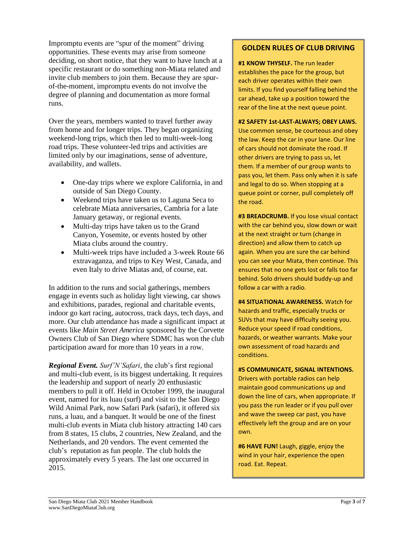Impromptu events are "spur of the moment" driving opportunities. These events may arise from someone deciding, on short notice, that they want to have lunch at a specific restaurant or do something non-Miata related and invite club members to join them. Because they are spurof-the-moment, impromptu events do not involve the degree of planning and documentation as more formal runs.

Over the years, members wanted to travel further away from home and for longer trips. They began organizing weekend-long trips, which then led to multi-week-long road trips. These volunteer-led trips and activities are limited only by our imaginations, sense of adventure, availability, and wallets.

- One-day trips where we explore California, in and outside of San Diego County.
- Weekend trips have taken us to Laguna Seca to celebrate Miata anniversaries, Cambria for a late January getaway, or regional events.
- Multi-day trips have taken us to the Grand Canyon, Yosemite, or events hosted by other Miata clubs around the country.
- Multi-week trips have included a 3-week Route 66 extravaganza, and trips to Key West, Canada, and even Italy to drive Miatas and, of course, eat.

In addition to the runs and social gatherings, members engage in events such as holiday light viewing, car shows and exhibitions, parades, regional and charitable events, indoor go kart racing, autocross, track days, tech days, and more. Our club attendance has made a significant impact at events like *Main Street America* sponsored by the Corvette Owners Club of San Diego where SDMC has won the club participation award for more than 10 years in a row.

*Regional Event. Surf'N'Safari*, the club's first regional and multi-club event, is its biggest undertaking. It requires the leadership and support of nearly 20 enthusiastic members to pull it off. Held in October 1999, the inaugural event, named for its luau (surf) and visit to the San Diego Wild Animal Park, now Safari Park (safari), it offered six runs, a luau, and a banquet. It would be one of the finest multi-club events in Miata club history attracting 140 cars from 8 states, 15 clubs, 2 countries, New Zealand, and the Netherlands, and 20 vendors. The event cemented the club's reputation as fun people. The club holds the approximately every 5 years. The last one occurred in 2015.

## **GOLDEN RULES OF CLUB DRIVING**

**#1 KNOW THYSELF.** The run leader establishes the pace for the group, but each driver operates within their own limits. If you find yourself falling behind the car ahead, take up a position toward the rear of the line at the next queue point.

**#2 SAFETY 1st-LAST-ALWAYS; OBEY LAWS.**  Use common sense, be courteous and obey the law. Keep the car in your lane. Our line of cars should not dominate the road. If other drivers are trying to pass us, let them. If a member of our group wants to pass you, let them. Pass only when it is safe and legal to do so. When stopping at a queue point or corner, pull completely off the road.

**#3 BREADCRUMB.** If you lose visual contact with the car behind you, slow down or wait at the next straight or turn (change in direction) and allow them to catch up again. When you are sure the car behind you can see your Miata, then continue. This ensures that no one gets lost or falls too far behind. Solo drivers should buddy-up and follow a car with a radio.

**#4 SITUATIONAL AWARENESS.** Watch for hazards and traffic, especially trucks or SUVs that may have difficulty seeing you. Reduce your speed if road conditions, hazards, or weather warrants. Make your own assessment of road hazards and conditions.

**#5 COMMUNICATE, SIGNAL INTENTIONS.**  Drivers with portable radios can help maintain good communications up and down the line of cars, when appropriate. If you pass the run leader or if you pull over and wave the sweep car past, you have effectively left the group and are on your own.

**#6 HAVE FUN!** Laugh, giggle, enjoy the wind in your hair, experience the open road. Eat. Repeat.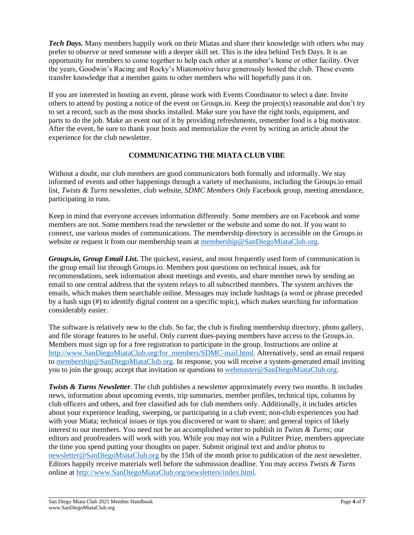*Tech Days.* Many members happily work on their Miatas and share their knowledge with others who may prefer to observe or need someone with a deeper skill set. This is the idea behind Tech Days. It is an opportunity for members to come together to help each other at a member's home or other facility. Over the years, Goodwin's Racing and Rocky's Miatomotive have generously hosted the club. These events transfer knowledge that a member gains to other members who will hopefully pass it on.

If you are interested in hosting an event, please work with Events Coordinator to select a date. Invite others to attend by posting a notice of the event on Groups.io. Keep the project(s) reasonable and don't try to set a record, such as the most shocks installed. Make sure you have the right tools, equipment, and parts to do the job. Make an event out of it by providing refreshments, remember food is a big motivator. After the event, be sure to thank your hosts and memorialize the event by writing an article about the experience for the club newsletter.

## **COMMUNICATING THE MIATA CLUB VIBE**

Without a doubt, our club members are good communicators both formally and informally. We stay informed of events and other happenings through a variety of mechanisms, including the Groups.io email list, *Twists & Turns* newsletter, club website, *SDMC Members Only* Facebook group, meeting attendance, participating in runs.

Keep in mind that everyone accesses information differently. Some members are on Facebook and some members are not. Some members read the newsletter or the website and some do not. If you want to connect, use various modes of communications. The membership directory is accessible on the Groups.io website or request it from our membership team at [membership@SanDiegoMiataClub.org.](mailto:membership@SanDiegoMiataClub.org)

*Groups.io, Group Email List.* The quickest, easiest, and most frequently used form of communication is the group email list through Groups.io. Members post questions on technical issues, ask for recommendations, seek information about meetings and events, and share member news by sending an email to one central address that the system relays to all subscribed members. The system archives the emails, which makes them searchable online. Messages may include hashtags (a word or phrase preceded by a hash sign (#) to identify digital content on a specific topic), which makes searching for information considerably easier.

The software is relatively new to the club. So far, the club is finding membership directory, photo gallery, and file storage features to be useful. Only current dues-paying members have access to the Groups.io. Members must sign up for a free registration to participate in the group. Instructions are online at [http://www.SanDiegoMiataClub.org/for\\_members/SDMC-mail.html.](http://www.sandiegomiataclub.org/for_members/SDMC-mail.html) Alternatively, send an email request to [membership@SanDiegoMiataClub.org.](mailto:membership@SanDiegoMiataClub.org) In response, you will receive a system-generated email inviting you to join the group; accept that invitation or questions to [webmaster@SanDiegoMiataClub.org.](mailto:webmaster@SanDiegoMiataClub.org)

*Twists & Turns Newsletter*. The club publishes a newsletter approximately every two months. It includes news, information about upcoming events, trip summaries, member profiles, technical tips, columns by club officers and others, and free classified ads for club members only. Additionally, it includes articles about your experience leading, sweeping, or participating in a club event; non-club experiences you had with your Miata; technical issues or tips you discovered or want to share; and general topics of likely interest to our members. You need not be an accomplished writer to publish in *Twists & Turns;* our editors and proofreaders will work with you. While you may not win a Pulitzer Prize, members appreciate the time you spend putting your thoughts on paper. Submit original text and and/or photos to [newsletter@SanDiegoMiataClub.org](mailto:newsletter@sandiegomiataclub.org) by the 15th of the month prior to publication of the next newsletter. Editors happily receive materials well before the submission deadline. You may access *Twists & Turns*  online at [http://www.SanDiegoMiataClub.org/newsletters/index.html.](http://www.sandiegomiataclub.org/newsletters/index.html)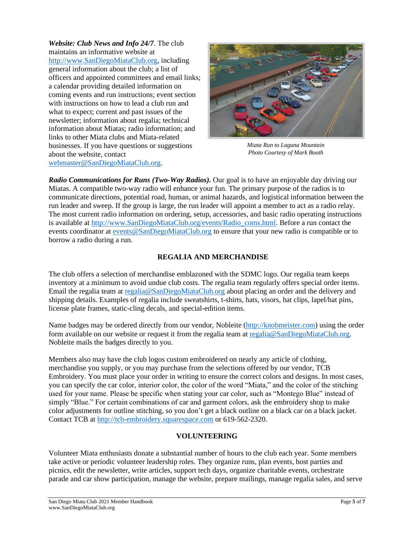*Website: Club News and Info 24/7*. The club maintains an informative website at [http://www.SanDiegoMiataClub.org,](http://www.sandiegomiataclub.org/) including general information about the club; a list of officers and appointed committees and email links; a calendar providing detailed information on coming events and run instructions; event section with instructions on how to lead a club run and what to expect; current and past issues of the newsletter; information about regalia; technical information about Miatas; radio information; and links to other Miata clubs and Miata-related businesses. If you have questions or suggestions about the website, contact [webmaster@SanDiegoMiataClub.org.](mailto:webmaster@SanDiegoMiataClub.org)



*Miata Run to Laguna Mountain Photo Courtesy of Mark Booth*

*Radio Communications for Runs (Two-Way Radios).* Our goal is to have an enjoyable day driving our Miatas. A compatible two-way radio will enhance your fun. The primary purpose of the radios is to communicate directions, potential road, human, or animal hazards, and logistical information between the run leader and sweep. If the group is large, the run leader will appoint a member to act as a radio relay. The most current radio information on ordering, setup, accessories, and basic radio operating instructions is available at [http://www.SanDiegoMiataClub.org/events/Radio\\_coms.html.](http://www.sandiegomiataclub.org/events/Radio_coms.html) Before a run contact the events coordinator at [events@SanDiegoMiataClub.org](mailto:events@SanDiegoMiataClub.org) to ensure that your new radio is compatible or to borrow a radio during a run.

## **REGALIA AND MERCHANDISE**

The club offers a selection of merchandise emblazoned with the SDMC logo. Our regalia team keeps inventory at a minimum to avoid undue club costs. The regalia team regularly offers special order items. Email the regalia team a[t regalia@SanDiegoMiataClub.org](mailto:regalia@SanDiegoMiataClub.org) about placing an order and the delivery and shipping details. Examples of regalia include sweatshirts, t-shirts, hats, visors, hat clips, lapel/hat pins, license plate frames, static-cling decals, and special-edition items.

Name badges may be ordered directly from our vendor, Nobleite [\(http://knobmeister.com\)](http://knobmeister.com/) using the order form available on our website or request it from the regalia team at [regalia@SanDiegoMiataClub.org.](mailto:regalia@SanDiegoMiataClub.org) Nobleite mails the badges directly to you.

Members also may have the club logos custom embroidered on nearly any article of clothing, merchandise you supply, or you may purchase from the selections offered by our vendor, TCB Embroidery. You must place your order in writing to ensure the correct colors and designs. In most cases, you can specify the car color, interior color, the color of the word "Miata," and the color of the stitching used for your name. Please be specific when stating your car color, such as "Montego Blue" instead of simply "Blue." For certain combinations of car and garment colors, ask the embroidery shop to make color adjustments for outline stitching, so you don't get a black outline on a black car on a black jacket. Contact TCB at [http://tcb-embroidery.squarespace.com](http://tcb-embroidery.squarespace.com/) or 619-562-2320.

## **VOLUNTEERING**

<span id="page-4-0"></span>Volunteer Miata enthusiasts donate a substantial number of hours to the club each year. Some members take active or periodic volunteer leadership roles. They organize runs, plan events, host parties and picnics, edit the newsletter, write articles, support tech days, organize charitable events, orchestrate parade and car show participation, manage the website, prepare mailings, manage regalia sales, and serve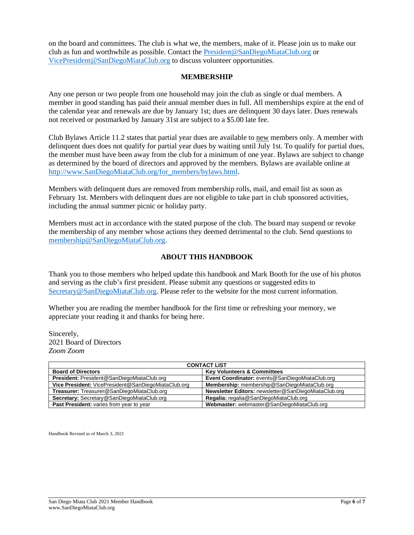on the board and committees. The club is what we, the members, make of it. Please join us to make our club as fun and worthwhile as possible. Contact the [President@SanDiegoMiataClub.org](mailto:President@SanDiegoMiataClub.org) or [VicePresident@SanDiegoMiataClub.org](mailto:VicePresident@SanDiegoMiataClub.org) to discuss volunteer opportunities.

#### **MEMBERSHIP**

Any one person or two people from one household may join the club as single or dual members. A member in good standing has paid their annual member dues in full. All memberships expire at the end of the calendar year and renewals are due by January 1st; dues are delinquent 30 days later. Dues renewals not received or postmarked by January 31st are subject to a \$5.00 late fee.

Club Bylaws Article 11.2 states that partial year dues are available to new members only. A member with delinquent dues does not qualify for partial year dues by waiting until July 1st. To qualify for partial dues, the member must have been away from the club for a minimum of one year. Bylaws are subject to change as determined by the board of directors and approved by the members. Bylaws are available online at [http://www.SanDiegoMiataClub.org/for\\_members/bylaws.html.](http://www.sandiegomiataclub.org/for_members/bylaws.html)

Members with delinquent dues are removed from membership rolls, mail, and email list as soon as February 1st. Members with delinquent dues are not eligible to take part in club sponsored activities, including the annual summer picnic or holiday party.

Members must act in accordance with the stated purpose of the club. The board may suspend or revoke the membership of any member whose actions they deemed detrimental to the club. Send questions to [membership@SanDiegoMiataClub.org.](mailto:membership@SanDiegoMiataClub.org)

## **ABOUT THIS HANDBOOK**

Thank you to those members who helped update this handbook and Mark Booth for the use of his photos and serving as the club's first president. Please submit any questions or suggested edits to [Secretary@SanDiegoMiataClub.org.](mailto:Secretary@SanDiegoMiataClub.org) Please refer to the website for the most current information.

Whether you are reading the member handbook for the first time or refreshing your memory, we appreciate your reading it and thanks for being here.

Sincerely, 2021 Board of Directors *Zoom Zoom*

| <b>CONTACT LIST</b>                                 |                                                      |
|-----------------------------------------------------|------------------------------------------------------|
| <b>Board of Directors</b>                           | <b>Key Volunteers &amp; Committees</b>               |
| President: President@SanDiegoMiataClub.org          | Event Coordinator: events@SanDiegoMiataClub.org      |
| Vice President: VicePresident@SanDiegoMiataClub.org | Membership: membership@SanDiegoMiataClub.org         |
| Treasurer: Treasurer@SanDiegoMiataClub.org          | Newsletter Editors: newsletter@SanDiegoMiataClub.org |
| Secretary: Secretary@SanDiegoMiataClub.org          | Regalia: regalia@SanDiegoMiataClub.org               |
| Past President: varies from year to year            | Webmaster: webmaster@SanDiegoMiataClub.org           |

Handbook Revised as of March 3, 2021